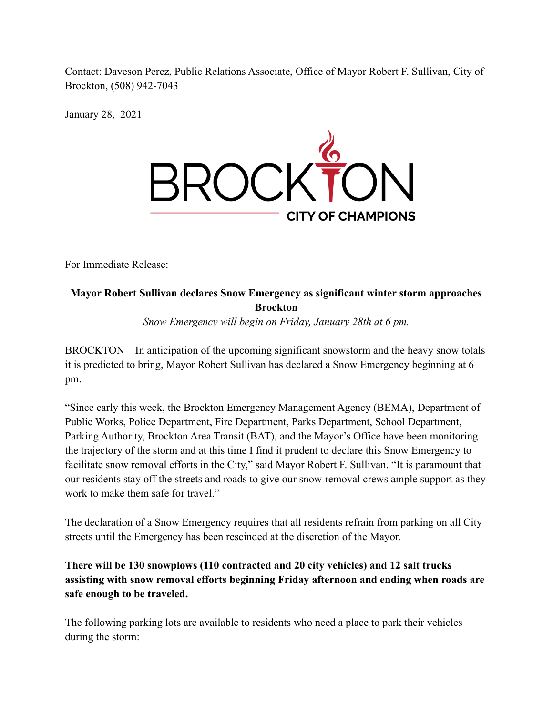Contact: Daveson Perez, Public Relations Associate, Office of Mayor Robert F. Sullivan, City of Brockton, (508) 942-7043

January 28, 2021



For Immediate Release:

## **Mayor Robert Sullivan declares Snow Emergency as significant winter storm approaches Brockton** *Snow Emergency will begin on Friday, January 28th at 6 pm.*

BROCKTON – In anticipation of the upcoming significant snowstorm and the heavy snow totals it is predicted to bring, Mayor Robert Sullivan has declared a Snow Emergency beginning at 6 pm.

"Since early this week, the Brockton Emergency Management Agency (BEMA), Department of Public Works, Police Department, Fire Department, Parks Department, School Department, Parking Authority, Brockton Area Transit (BAT), and the Mayor's Office have been monitoring the trajectory of the storm and at this time I find it prudent to declare this Snow Emergency to facilitate snow removal efforts in the City," said Mayor Robert F. Sullivan. "It is paramount that our residents stay off the streets and roads to give our snow removal crews ample support as they work to make them safe for travel."

The declaration of a Snow Emergency requires that all residents refrain from parking on all City streets until the Emergency has been rescinded at the discretion of the Mayor.

## **There will be 130 snowplows (110 contracted and 20 city vehicles) and 12 salt trucks assisting with snow removal efforts beginning Friday afternoon and ending when roads are safe enough to be traveled.**

The following parking lots are available to residents who need a place to park their vehicles during the storm: